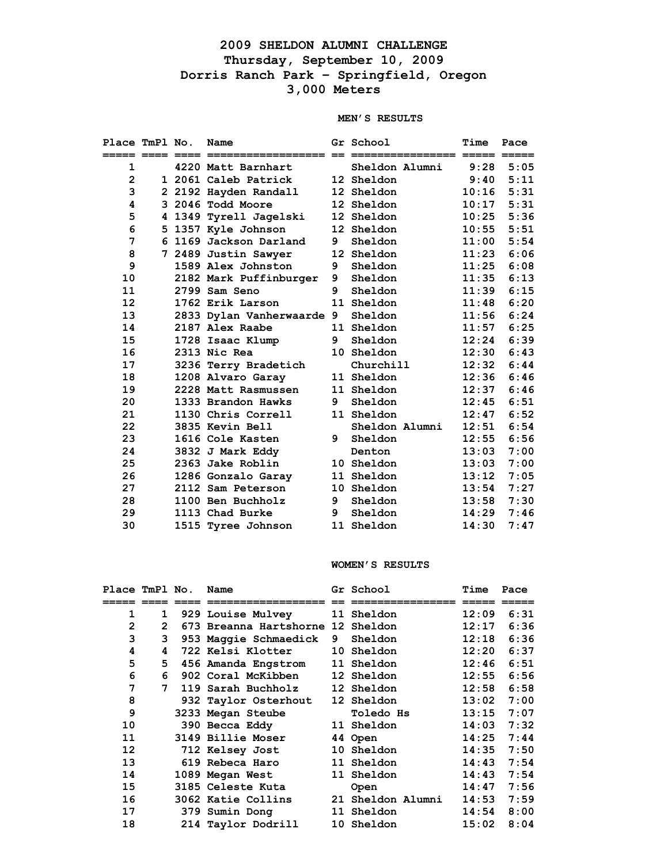## **2009 SHELDON ALUMNI CHALLENGE Thursday, September 10, 2009 Dorris Ranch Park – Springfield, Oregon 3,000 Meters**

## **MEN'S RESULTS**

| Place TmPl No. |  | Name                      |   | Gr School         | Time             | Pace        |
|----------------|--|---------------------------|---|-------------------|------------------|-------------|
| ===== ====     |  | =======================   |   |                   |                  |             |
| 1              |  | 4220 Matt Barnhart        |   | Sheldon Alumni    |                  | $9:28$ 5:05 |
| $\overline{2}$ |  | 1 2061 Caleb Patrick      |   | 12 Sheldon        | 9:40             | 5:11        |
| 3              |  | 2 2192 Hayden Randall     |   | 12 Sheldon        | 10:16            | 5:31        |
| 4              |  | 3 2046 Todd Moore         |   | 12 Sheldon        | 10:17            | 5:31        |
| 5              |  | 4 1349 Tyrell Jagelski    |   | 12 Sheldon        | 10:25            | 5:36        |
| 6              |  | 5 1357 Kyle Johnson       |   | 12 Sheldon        | 10:55            | 5:51        |
| 7              |  | 6 1169 Jackson Darland    | 9 | Sheldon           | 11:00            | 5:54        |
| 8              |  | 7 2489 Justin Sawyer      |   | 12 Sheldon        | 11:23            | 6:06        |
| 9              |  | 1589 Alex Johnston        | 9 | Sheldon           | 11:25            | 6:08        |
| 10             |  | 2182 Mark Puffinburger    | 9 | Sheldon           | 11:35            | 6:13        |
| 11             |  | 2799 Sam Seno             | 9 | Sheldon           | 11:39            | 6:15        |
| 12             |  | 1762 Erik Larson          |   | 11 Sheldon        | 11:48            | 6:20        |
| 13             |  | 2833 Dylan Vanherwaarde 9 |   | Sheldon           | 11:56            | 6:24        |
| 14             |  | 2187 Alex Raabe           |   | 11 Sheldon        | $\mathtt{11:57}$ | 6:25        |
| 15             |  | 1728 Isaac Klump          | 9 | Sheldon           | 12:24            | 6:39        |
| 16             |  | 2313 Nic Rea              |   | 10 Sheldon        | 12:30            | 6:43        |
| 17             |  | 3236 Terry Bradetich      |   | Churchill         | 12:32            | 6:44        |
| 18             |  | 1208 Alvaro Garay         |   | 11 Sheldon        | 12:36            | 6:46        |
| 19             |  | 2228 Matt Rasmussen       |   | 11 Sheldon        | 12:37            | 6:46        |
| 20             |  | 1333 Brandon Hawks        | 9 | Sheldon           | 12:45            | 6:51        |
| 21             |  | 1130 Chris Correll        |   | 11 Sheldon        | 12:47            | 6:52        |
| 22             |  | 3835 Kevin Bell           |   | Sheldon Alumni    | 12:51            | 6:54        |
| 23             |  | 1616 Cole Kasten          | 9 | Sheldon           | 12:55            | 6:56        |
| 24             |  | 3832 J Mark Eddy          |   | Denton            | 13:03            | 7:00        |
| 25             |  | 2363 Jake Roblin          |   | 10 Sheldon        | 13:03            | 7:00        |
| 26             |  | 1286 Gonzalo Garay        |   | 11 Sheldon        | 13:12            | 7:05        |
| 27             |  | 2112 Sam Peterson         |   | <b>10 Sheldon</b> | 13:54            | 7:27        |
| 28             |  | 1100 Ben Buchholz         | 9 | Sheldon           | 13:58            | 7:30        |
| 29             |  | 1113 Chad Burke           | 9 | Sheldon           | 14:29            | 7:46        |
| 30             |  | 1515 Tyree Johnson        |   | 11 Sheldon        | 14:30            | 7:47        |

## **WOMEN'S RESULTS**

| Place TmPl No. |              | Name                              |   | Gr School         | Time  | Pace |
|----------------|--------------|-----------------------------------|---|-------------------|-------|------|
|                |              |                                   |   |                   |       |      |
| 1              | $\mathbf 1$  | <b>929 Louise Mulvey</b>          |   | 11 Sheldon        | 12:09 | 6:31 |
| $\mathbf{2}$   | $\mathbf{2}$ | 673 Breanna Hartshorne 12 Sheldon |   |                   | 12:17 | 6:36 |
| 3              | 3            | 953 Maggie Schmaedick             | 9 | Sheldon           | 12:18 | 6:36 |
| 4              | 4            | 722 Kelsi Klotter                 |   | 10 Sheldon        | 12:20 | 6:37 |
| 5              | 5.           | 456 Amanda Engstrom               |   | <b>11 Sheldon</b> | 12:46 | 6:51 |
| 6              | 6            | 902 Coral McKibben                |   | 12 Sheldon        | 12:55 | 6:56 |
| 7              | 7            | 119 Sarah Buchholz                |   | 12 Sheldon        | 12:58 | 6:58 |
| 8              |              | 932 Taylor Osterhout              |   | 12 Sheldon        | 13:02 | 7:00 |
| 9              |              | 3233 Megan Steube                 |   | <b>Toledo Hs</b>  | 13:15 | 7:07 |
| 10             |              | 390 Becca Eddy                    |   | <b>11 Sheldon</b> | 14:03 | 7:32 |
| 11             |              | 3149 Billie Moser                 |   | 44 Open           | 14:25 | 7:44 |
| 12             |              | 712 Kelsey Jost                   |   | 10 Sheldon        | 14:35 | 7:50 |
| 13             |              | 619 Rebeca Haro                   |   | 11 Sheldon        | 14:43 | 7:54 |
| 14             |              | 1089 Megan West                   |   | 11 Sheldon        | 14:43 | 7:54 |
| 15             |              | 3185 Celeste Kuta                 |   | Open              | 14:47 | 7:56 |
| 16             |              | 3062 Katie Collins                |   | 21 Sheldon Alumni | 14:53 | 7:59 |
| 17             |              | 379 Sumin Dong                    |   | 11 Sheldon        | 14:54 | 8:00 |
| 18             |              | 214 Taylor Dodrill                |   | 10 Sheldon        | 15:02 | 8:04 |